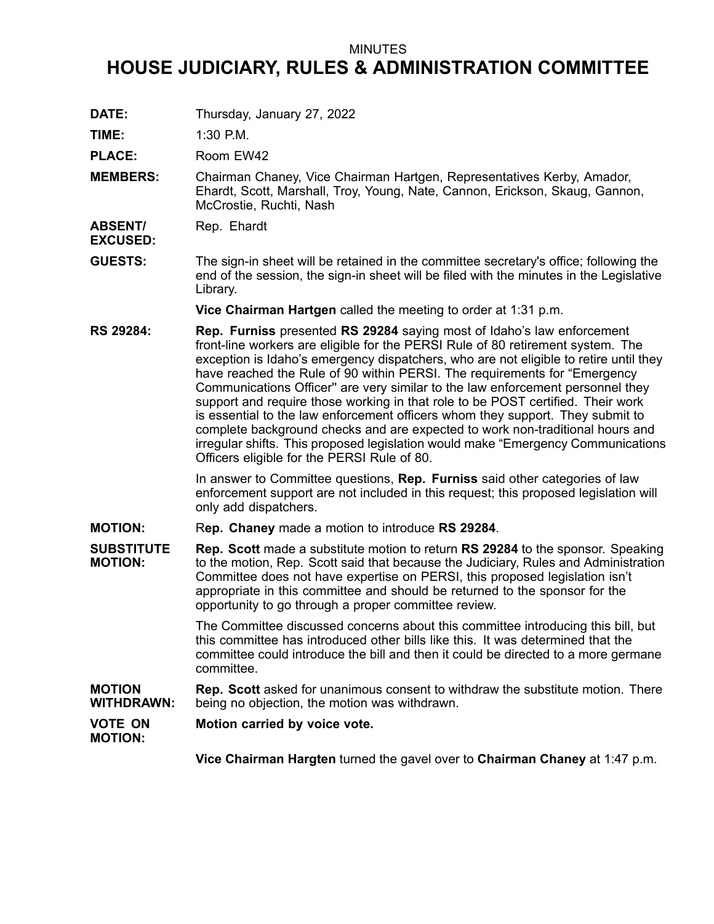## MINUTES

## **HOUSE JUDICIARY, RULES & ADMINISTRATION COMMITTEE**

**DATE:** Thursday, January 27, 2022

**TIME:** 1:30 P.M.

PLACE: Room EW42

- **MEMBERS:** Chairman Chaney, Vice Chairman Hartgen, Representatives Kerby, Amador, Ehardt, Scott, Marshall, Troy, Young, Nate, Cannon, Erickson, Skaug, Gannon, McCrostie, Ruchti, Nash
- **ABSENT/** Rep. Ehardt

**EXCUSED:**

**GUESTS:** The sign-in sheet will be retained in the committee secretary's office; following the end of the session, the sign-in sheet will be filed with the minutes in the Legislative Library.

**Vice Chairman Hartgen** called the meeting to order at 1:31 p.m.

**RS 29284: Rep. Furniss** presented **RS 29284** saying most of Idaho's law enforcement front-line workers are eligible for the PERSI Rule of 80 retirement system. The exception is Idaho's emergency dispatchers, who are not eligible to retire until they have reached the Rule of 90 within PERSI. The requirements for "Emergency Communications Officer'' are very similar to the law enforcement personnel they support and require those working in that role to be POST certified. Their work is essential to the law enforcement officers whom they support. They submit to complete background checks and are expected to work non-traditional hours and irregular shifts. This proposed legislation would make "Emergency Communications Officers eligible for the PERSI Rule of 80.

> In answer to Committee questions, **Rep. Furniss** said other categories of law enforcement support are not included in this request; this proposed legislation will only add dispatchers.

**MOTION:** R**ep. Chaney** made <sup>a</sup> motion to introduce **RS 29284**.

**SUBSTITUTE MOTION: Rep. Scott** made <sup>a</sup> substitute motion to return **RS 29284** to the sponsor. Speaking to the motion, Rep. Scott said that because the Judiciary, Rules and Administration Committee does not have expertise on PERSI, this proposed legislation isn't appropriate in this committee and should be returned to the sponsor for the opportunity to go through <sup>a</sup> proper committee review.

> The Committee discussed concerns about this committee introducing this bill, but this committee has introduced other bills like this. It was determined that the committee could introduce the bill and then it could be directed to <sup>a</sup> more germane committee.

**MOTION WITHDRAWN: Rep. Scott** asked for unanimous consent to withdraw the substitute motion. There being no objection, the motion was withdrawn.

**VOTE ON MOTION: Motion carried by voice vote.**

**Vice Chairman Hargten** turned the gavel over to **Chairman Chaney** at 1:47 p.m.